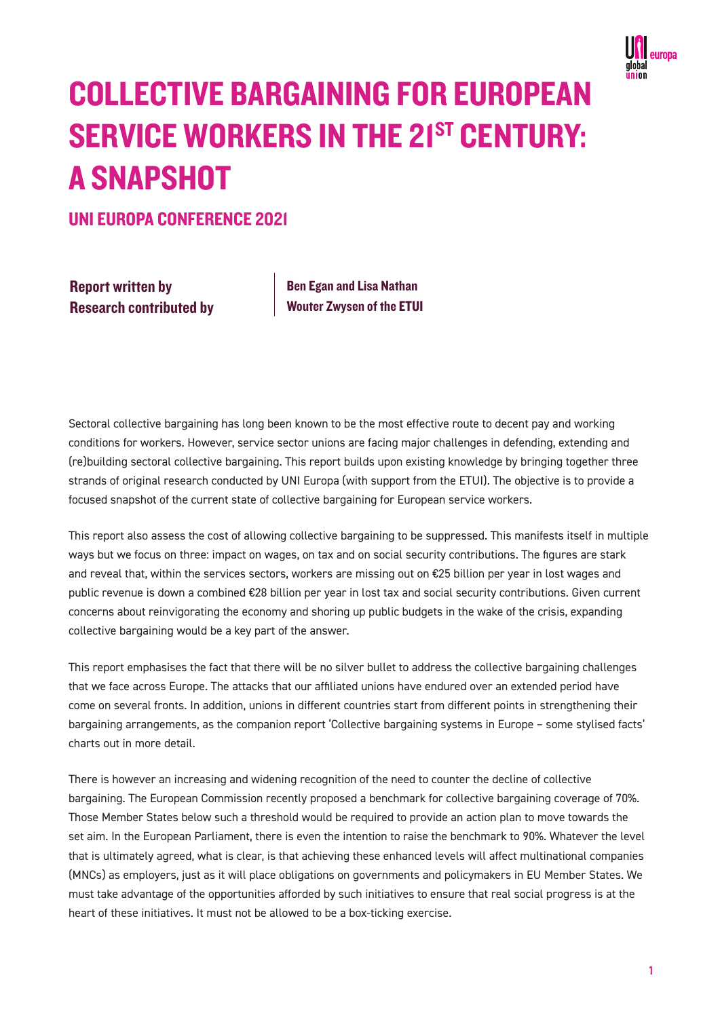

# COLLECTIVE BARGAINING FOR EUROPEAN SERVICE WORKERS IN THE 21ST CENTURY: A SNAPSHOT

UNI EUROPA CONFERENCE 2021

Report written by Research contributed by Ben Egan and Lisa Nathan Wouter Zwysen of the ETUI

Sectoral collective bargaining has long been known to be the most effective route to decent pay and working conditions for workers. However, service sector unions are facing major challenges in defending, extending and (re)building sectoral collective bargaining. This report builds upon existing knowledge by bringing together three strands of original research conducted by UNI Europa (with support from the ETUI). The objective is to provide a focused snapshot of the current state of collective bargaining for European service workers.

This report also assess the cost of allowing collective bargaining to be suppressed. This manifests itself in multiple ways but we focus on three: impact on wages, on tax and on social security contributions. The figures are stark and reveal that, within the services sectors, workers are missing out on €25 billion per year in lost wages and public revenue is down a combined €28 billion per year in lost tax and social security contributions. Given current concerns about reinvigorating the economy and shoring up public budgets in the wake of the crisis, expanding collective bargaining would be a key part of the answer.

This report emphasises the fact that there will be no silver bullet to address the collective bargaining challenges that we face across Europe. The attacks that our affiliated unions have endured over an extended period have come on several fronts. In addition, unions in different countries start from different points in strengthening their bargaining arrangements, as the companion report 'Collective bargaining systems in Europe – some stylised facts' charts out in more detail.

There is however an increasing and widening recognition of the need to counter the decline of collective bargaining. The European Commission recently proposed a benchmark for collective bargaining coverage of 70%. Those Member States below such a threshold would be required to provide an action plan to move towards the set aim. In the European Parliament, there is even the intention to raise the benchmark to 90%. Whatever the level that is ultimately agreed, what is clear, is that achieving these enhanced levels will affect multinational companies (MNCs) as employers, just as it will place obligations on governments and policymakers in EU Member States. We must take advantage of the opportunities afforded by such initiatives to ensure that real social progress is at the heart of these initiatives. It must not be allowed to be a box-ticking exercise.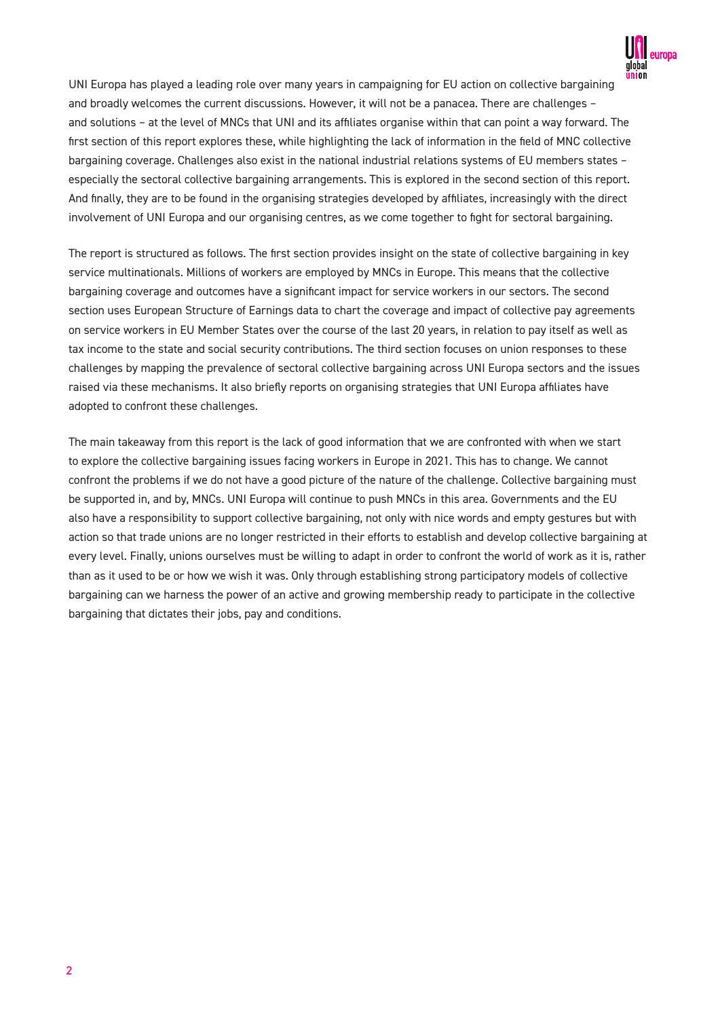

UNI Europa has played a leading role over many years in campaigning for EU action on collective bargaining and broadly welcomes the current discussions. However, it will not be a panacea. There are challenges – and solutions – at the level of MNCs that UNI and its affiliates organise within that can point a way forward. The first section of this report explores these, while highlighting the lack of information in the field of MNC collective bargaining coverage. Challenges also exist in the national industrial relations systems of EU members states – especially the sectoral collective bargaining arrangements. This is explored in the second section of this report. And finally, they are to be found in the organising strategies developed by affiliates, increasingly with the direct involvement of UNI Europa and our organising centres, as we come together to fight for sectoral bargaining.

The report is structured as follows. The first section provides insight on the state of collective bargaining in key service multinationals. Millions of workers are employed by MNCs in Europe. This means that the collective bargaining coverage and outcomes have a significant impact for service workers in our sectors. The second section uses European Structure of Earnings data to chart the coverage and impact of collective pay agreements on service workers in EU Member States over the course of the last 20 years, in relation to pay itself as well as tax income to the state and social security contributions. The third section focuses on union responses to these challenges by mapping the prevalence of sectoral collective bargaining across UNI Europa sectors and the issues raised via these mechanisms. It also briefly reports on organising strategies that UNI Europa affiliates have adopted to confront these challenges.

The main takeaway from this report is the lack of good information that we are confronted with when we start to explore the collective bargaining issues facing workers in Europe in 2021. This has to change. We cannot confront the problems if we do not have a good picture of the nature of the challenge. Collective bargaining must be supported in, and by, MNCs. UNI Europa will continue to push MNCs in this area. Governments and the EU also have a responsibility to support collective bargaining, not only with nice words and empty gestures but with action so that trade unions are no longer restricted in their efforts to establish and develop collective bargaining at every level. Finally, unions ourselves must be willing to adapt in order to confront the world of work as it is, rather than as it used to be or how we wish it was. Only through establishing strong participatory models of collective bargaining can we harness the power of an active and growing membership ready to participate in the collective bargaining that dictates their jobs, pay and conditions.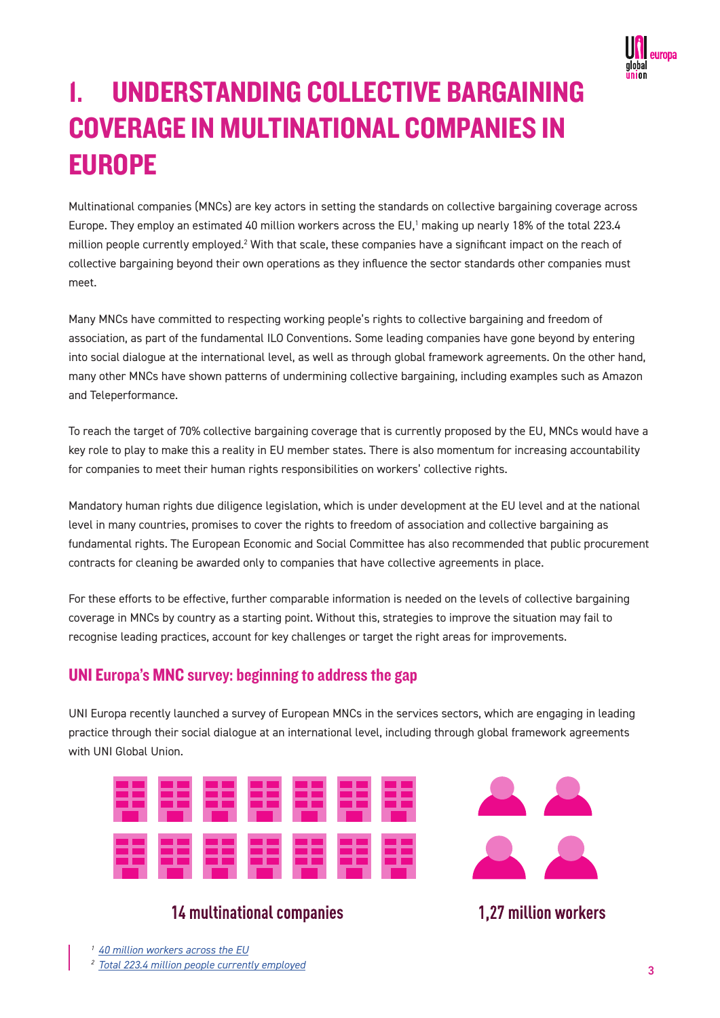

## 1. UNDERSTANDING COLLECTIVE BARGAINING COVERAGE IN MULTINATIONAL COMPANIES IN EUROPE

Multinational companies (MNCs) are key actors in setting the standards on collective bargaining coverage across Europe. They employ an estimated 40 million workers across the EU,1 making up nearly 18% of the total 223.4 million people currently employed.<sup>2</sup> With that scale, these companies have a significant impact on the reach of collective bargaining beyond their own operations as they influence the sector standards other companies must meet.

Many MNCs have committed to respecting working people's rights to collective bargaining and freedom of association, as part of the fundamental ILO Conventions. Some leading companies have gone beyond by entering into social dialogue at the international level, as well as through global framework agreements. On the other hand, many other MNCs have shown patterns of undermining collective bargaining, including examples such as Amazon and Teleperformance.

To reach the target of 70% collective bargaining coverage that is currently proposed by the EU, MNCs would have a key role to play to make this a reality in EU member states. There is also momentum for increasing accountability for companies to meet their human rights responsibilities on workers' collective rights.

Mandatory human rights due diligence legislation, which is under development at the EU level and at the national level in many countries, promises to cover the rights to freedom of association and collective bargaining as fundamental rights. The European Economic and Social Committee has also recommended that public procurement contracts for cleaning be awarded only to companies that have collective agreements in place.

For these efforts to be effective, further comparable information is needed on the levels of collective bargaining coverage in MNCs by country as a starting point. Without this, strategies to improve the situation may fail to recognise leading practices, account for key challenges or target the right areas for improvements.

### UNI Europa's MNC survey: beginning to address the gap

UNI Europa recently launched a survey of European MNCs in the services sectors, which are engaging in leading practice through their social dialogue at an international level, including through global framework agreements with UNI Global Union.



### **14 multinational companies**



### 1.27 million workers

*1 40 million workers across the EU*

*2 Total 223.4 million people currently employed*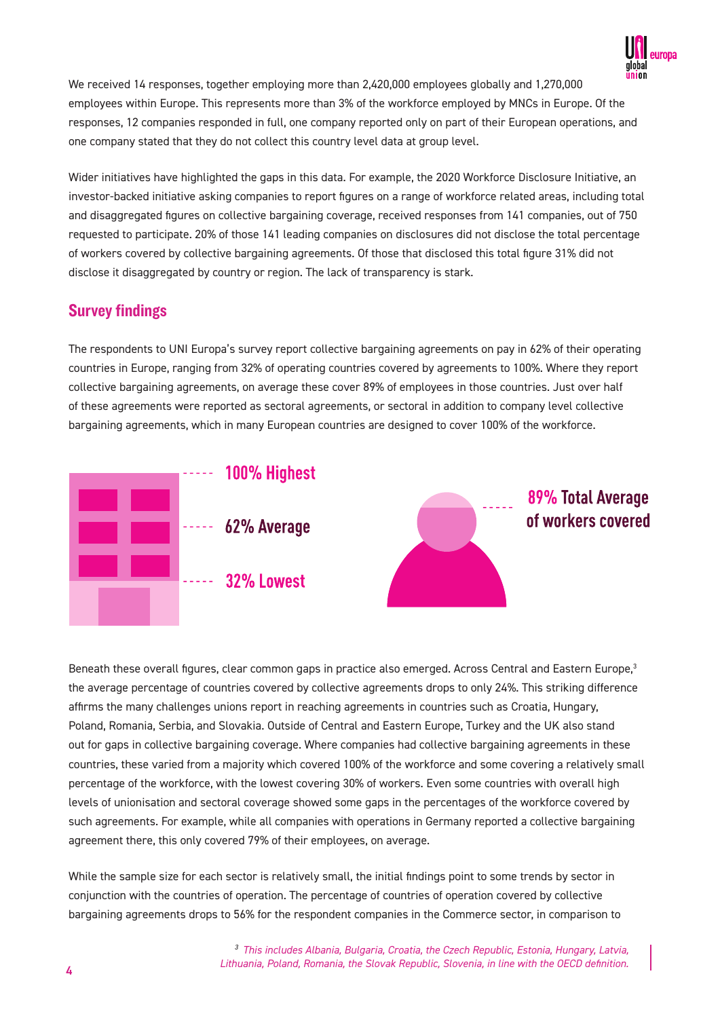

We received 14 responses, together employing more than 2,420,000 employees globally and 1,270,000 employees within Europe. This represents more than 3% of the workforce employed by MNCs in Europe. Of the responses, 12 companies responded in full, one company reported only on part of their European operations, and one company stated that they do not collect this country level data at group level.

Wider initiatives have highlighted the gaps in this data. For example, the 2020 Workforce Disclosure Initiative, an investor-backed initiative asking companies to report figures on a range of workforce related areas, including total and disaggregated figures on collective bargaining coverage, received responses from 141 companies, out of 750 requested to participate. 20% of those 141 leading companies on disclosures did not disclose the total percentage of workers covered by collective bargaining agreements. Of those that disclosed this total figure 31% did not disclose it disaggregated by country or region. The lack of transparency is stark.

#### Survey findings

The respondents to UNI Europa's survey report collective bargaining agreements on pay in 62% of their operating countries in Europe, ranging from 32% of operating countries covered by agreements to 100%. Where they report collective bargaining agreements, on average these cover 89% of employees in those countries. Just over half of these agreements were reported as sectoral agreements, or sectoral in addition to company level collective bargaining agreements, which in many European countries are designed to cover 100% of the workforce.



Beneath these overall figures, clear common gaps in practice also emerged. Across Central and Eastern Europe,<sup>3</sup> the average percentage of countries covered by collective agreements drops to only 24%. This striking difference affirms the many challenges unions report in reaching agreements in countries such as Croatia, Hungary, Poland, Romania, Serbia, and Slovakia. Outside of Central and Eastern Europe, Turkey and the UK also stand out for gaps in collective bargaining coverage. Where companies had collective bargaining agreements in these countries, these varied from a majority which covered 100% of the workforce and some covering a relatively small percentage of the workforce, with the lowest covering 30% of workers. Even some countries with overall high levels of unionisation and sectoral coverage showed some gaps in the percentages of the workforce covered by such agreements. For example, while all companies with operations in Germany reported a collective bargaining agreement there, this only covered 79% of their employees, on average.

While the sample size for each sector is relatively small, the initial findings point to some trends by sector in conjunction with the countries of operation. The percentage of countries of operation covered by collective bargaining agreements drops to 56% for the respondent companies in the Commerce sector, in comparison to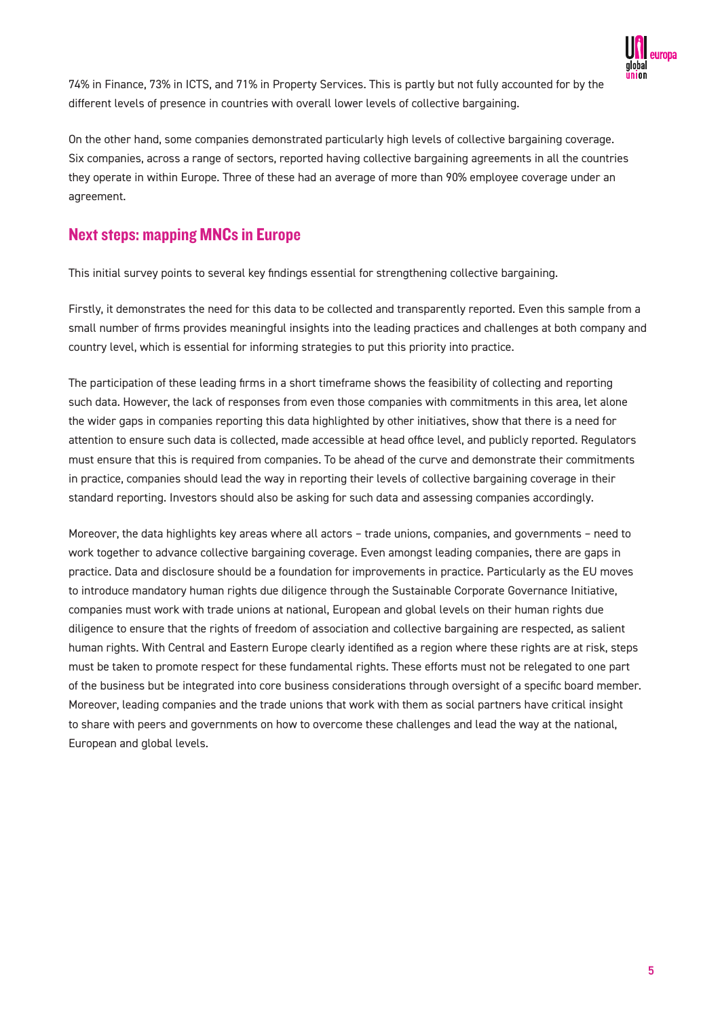

74% in Finance, 73% in ICTS, and 71% in Property Services. This is partly but not fully accounted for by the different levels of presence in countries with overall lower levels of collective bargaining.

On the other hand, some companies demonstrated particularly high levels of collective bargaining coverage. Six companies, across a range of sectors, reported having collective bargaining agreements in all the countries they operate in within Europe. Three of these had an average of more than 90% employee coverage under an agreement.

#### Next steps: mapping MNCs in Europe

This initial survey points to several key findings essential for strengthening collective bargaining.

Firstly, it demonstrates the need for this data to be collected and transparently reported. Even this sample from a small number of firms provides meaningful insights into the leading practices and challenges at both company and country level, which is essential for informing strategies to put this priority into practice.

The participation of these leading firms in a short timeframe shows the feasibility of collecting and reporting such data. However, the lack of responses from even those companies with commitments in this area, let alone the wider gaps in companies reporting this data highlighted by other initiatives, show that there is a need for attention to ensure such data is collected, made accessible at head office level, and publicly reported. Regulators must ensure that this is required from companies. To be ahead of the curve and demonstrate their commitments in practice, companies should lead the way in reporting their levels of collective bargaining coverage in their standard reporting. Investors should also be asking for such data and assessing companies accordingly.

Moreover, the data highlights key areas where all actors – trade unions, companies, and governments – need to work together to advance collective bargaining coverage. Even amongst leading companies, there are gaps in practice. Data and disclosure should be a foundation for improvements in practice. Particularly as the EU moves to introduce mandatory human rights due diligence through the Sustainable Corporate Governance Initiative, companies must work with trade unions at national, European and global levels on their human rights due diligence to ensure that the rights of freedom of association and collective bargaining are respected, as salient human rights. With Central and Eastern Europe clearly identified as a region where these rights are at risk, steps must be taken to promote respect for these fundamental rights. These efforts must not be relegated to one part of the business but be integrated into core business considerations through oversight of a specific board member. Moreover, leading companies and the trade unions that work with them as social partners have critical insight to share with peers and governments on how to overcome these challenges and lead the way at the national, European and global levels.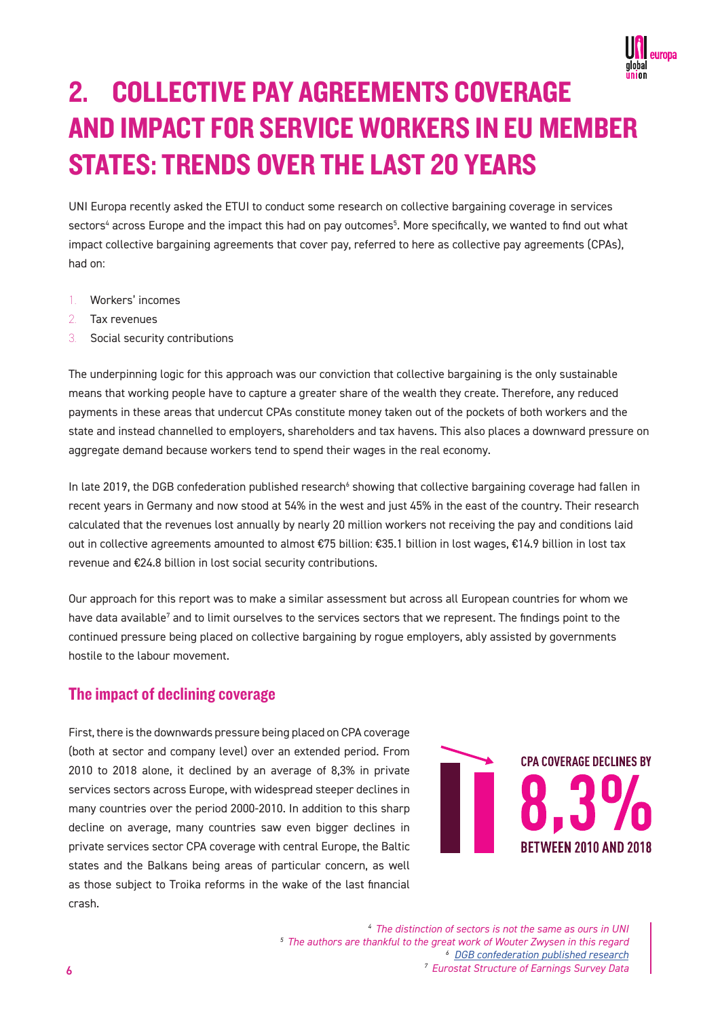

# 2. COLLECTIVE PAY AGREEMENTS COVERAGE AND IMPACT FOR SERVICE WORKERS IN EU MEMBER STATES: TRENDS OVER THE LAST 20 YEARS

UNI Europa recently asked the ETUI to conduct some research on collective bargaining coverage in services sectors<sup>4</sup> across Europe and the impact this had on pay outcomes<sup>5</sup>. More specifically, we wanted to find out what impact collective bargaining agreements that cover pay, referred to here as collective pay agreements (CPAs), had on:

- 1. Workers' incomes
- 2. Tax revenues
- 3. Social security contributions

The underpinning logic for this approach was our conviction that collective bargaining is the only sustainable means that working people have to capture a greater share of the wealth they create. Therefore, any reduced payments in these areas that undercut CPAs constitute money taken out of the pockets of both workers and the state and instead channelled to employers, shareholders and tax havens. This also places a downward pressure on aggregate demand because workers tend to spend their wages in the real economy.

In late 2019, the DGB confederation published research<sup>6</sup> showing that collective bargaining coverage had fallen in recent years in Germany and now stood at 54% in the west and just 45% in the east of the country. Their research calculated that the revenues lost annually by nearly 20 million workers not receiving the pay and conditions laid out in collective agreements amounted to almost €75 billion: €35.1 billion in lost wages, €14.9 billion in lost tax revenue and €24.8 billion in lost social security contributions.

Our approach for this report was to make a similar assessment but across all European countries for whom we have data available<sup>7</sup> and to limit ourselves to the services sectors that we represent. The findings point to the continued pressure being placed on collective bargaining by rogue employers, ably assisted by governments hostile to the labour movement.

#### The impact of declining coverage

First, there is the downwards pressure being placed on CPA coverage (both at sector and company level) over an extended period. From 2010 to 2018 alone, it declined by an average of 8,3% in private services sectors across Europe, with widespread steeper declines in many countries over the period 2000-2010. In addition to this sharp decline on average, many countries saw even bigger declines in private services sector CPA coverage with central Europe, the Baltic states and the Balkans being areas of particular concern, as well as those subject to Troika reforms in the wake of the last financial crash.

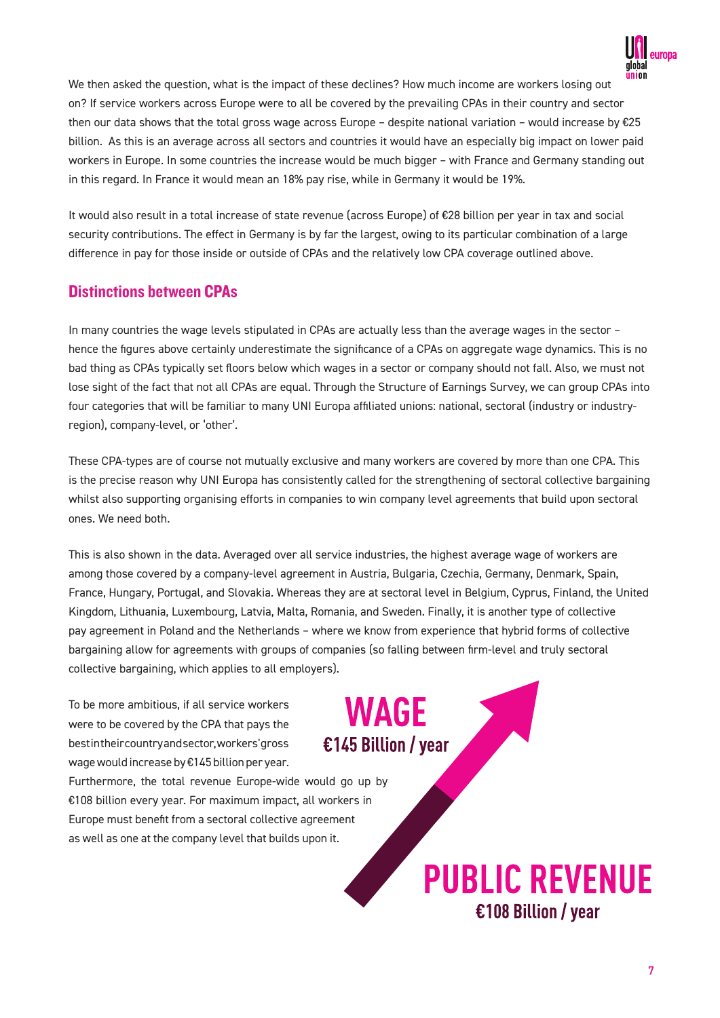

We then asked the question, what is the impact of these declines? How much income are workers losing out on? If service workers across Europe were to all be covered by the prevailing CPAs in their country and sector then our data shows that the total gross wage across Europe – despite national variation – would increase by  $E25$ billion. As this is an average across all sectors and countries it would have an especially big impact on lower paid workers in Europe. In some countries the increase would be much bigger – with France and Germany standing out in this regard. In France it would mean an 18% pay rise, while in Germany it would be 19%.

It would also result in a total increase of state revenue (across Europe) of €28 billion per year in tax and social security contributions. The effect in Germany is by far the largest, owing to its particular combination of a large difference in pay for those inside or outside of CPAs and the relatively low CPA coverage outlined above.

#### Distinctions between CPAs

In many countries the wage levels stipulated in CPAs are actually less than the average wages in the sector – hence the figures above certainly underestimate the significance of a CPAs on aggregate wage dynamics. This is no bad thing as CPAs typically set floors below which wages in a sector or company should not fall. Also, we must not lose sight of the fact that not all CPAs are equal. Through the Structure of Earnings Survey, we can group CPAs into four categories that will be familiar to many UNI Europa affiliated unions: national, sectoral (industry or industryregion), company-level, or 'other'.

These CPA-types are of course not mutually exclusive and many workers are covered by more than one CPA. This is the precise reason why UNI Europa has consistently called for the strengthening of sectoral collective bargaining whilst also supporting organising efforts in companies to win company level agreements that build upon sectoral ones. We need both.

This is also shown in the data. Averaged over all service industries, the highest average wage of workers are among those covered by a company-level agreement in Austria, Bulgaria, Czechia, Germany, Denmark, Spain, France, Hungary, Portugal, and Slovakia. Whereas they are at sectoral level in Belgium, Cyprus, Finland, the United Kingdom, Lithuania, Luxembourg, Latvia, Malta, Romania, and Sweden. Finally, it is another type of collective pay agreement in Poland and the Netherlands – where we know from experience that hybrid forms of collective bargaining allow for agreements with groups of companies (so falling between firm-level and truly sectoral collective bargaining, which applies to all employers).

To be more ambitious, if all service workers were to be covered by the CPA that pays the best in their country and sector, workers' gross wage would increase by €145 billion per year.

Furthermore, the total revenue Europe-wide would go up by €108 billion every year. For maximum impact, all workers in Europe must benefit from a sectoral collective agreement as well as one at the company level that builds upon it.



**PUBLIC REVENUE** 

€108 Billion / vear

7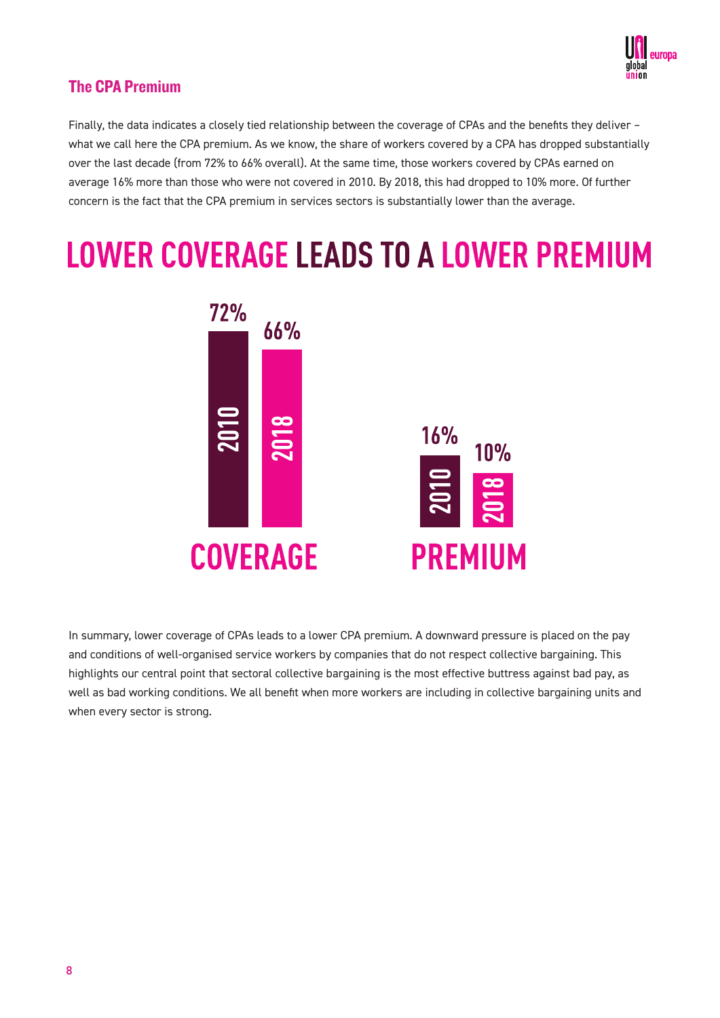

#### The CPA Premium

Finally, the data indicates a closely tied relationship between the coverage of CPAs and the benefits they deliver – what we call here the CPA premium. As we know, the share of workers covered by a CPA has dropped substantially over the last decade (from 72% to 66% overall). At the same time, those workers covered by CPAs earned on average 16% more than those who were not covered in 2010. By 2018, this had dropped to 10% more. Of further concern is the fact that the CPA premium in services sectors is substantially lower than the average.

# **LOWER COVERAGE LEADS TO A LOWER PREMIUM**



In summary, lower coverage of CPAs leads to a lower CPA premium. A downward pressure is placed on the pay and conditions of well-organised service workers by companies that do not respect collective bargaining. This highlights our central point that sectoral collective bargaining is the most effective buttress against bad pay, as well as bad working conditions. We all benefit when more workers are including in collective bargaining units and when every sector is strong.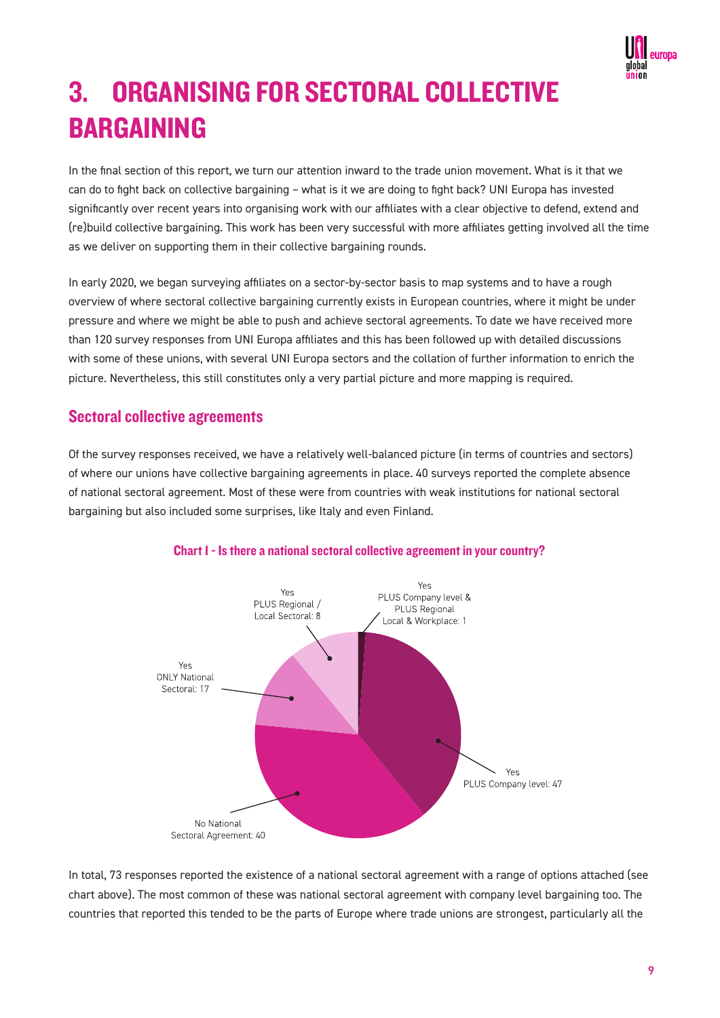

# 3. ORGANISING FOR SECTORAL COLLECTIVE BARGAINING

In the final section of this report, we turn our attention inward to the trade union movement. What is it that we can do to fight back on collective bargaining – what is it we are doing to fight back? UNI Europa has invested significantly over recent years into organising work with our affiliates with a clear objective to defend, extend and (re)build collective bargaining. This work has been very successful with more affiliates getting involved all the time as we deliver on supporting them in their collective bargaining rounds.

In early 2020, we began surveying affiliates on a sector-by-sector basis to map systems and to have a rough overview of where sectoral collective bargaining currently exists in European countries, where it might be under pressure and where we might be able to push and achieve sectoral agreements. To date we have received more than 120 survey responses from UNI Europa affiliates and this has been followed up with detailed discussions with some of these unions, with several UNI Europa sectors and the collation of further information to enrich the picture. Nevertheless, this still constitutes only a very partial picture and more mapping is required.

#### Sectoral collective agreements

Of the survey responses received, we have a relatively well-balanced picture (in terms of countries and sectors) of where our unions have collective bargaining agreements in place. 40 surveys reported the complete absence of national sectoral agreement. Most of these were from countries with weak institutions for national sectoral bargaining but also included some surprises, like Italy and even Finland.



#### Chart 1 - Is there a national sectoral collective agreement in your country?

In total, 73 responses reported the existence of a national sectoral agreement with a range of options attached (see chart above). The most common of these was national sectoral agreement with company level bargaining too. The countries that reported this tended to be the parts of Europe where trade unions are strongest, particularly all the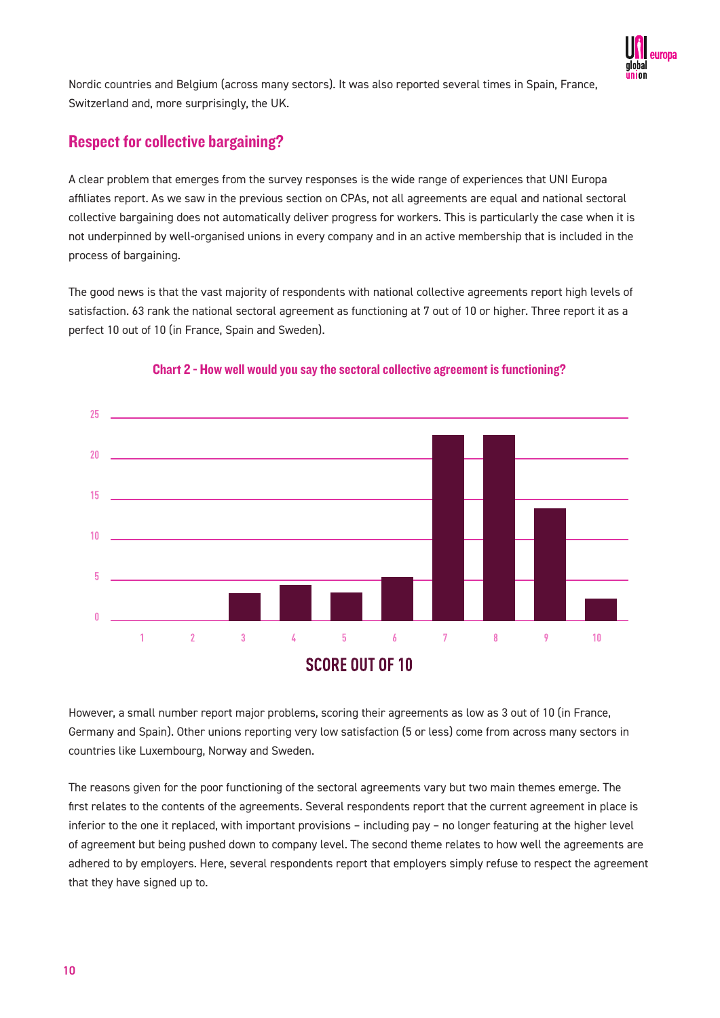

Nordic countries and Belgium (across many sectors). It was also reported several times in Spain, France, Switzerland and, more surprisingly, the UK.

### Respect for collective bargaining?

A clear problem that emerges from the survey responses is the wide range of experiences that UNI Europa affiliates report. As we saw in the previous section on CPAs, not all agreements are equal and national sectoral collective bargaining does not automatically deliver progress for workers. This is particularly the case when it is not underpinned by well-organised unions in every company and in an active membership that is included in the process of bargaining.

The good news is that the vast majority of respondents with national collective agreements report high levels of satisfaction. 63 rank the national sectoral agreement as functioning at 7 out of 10 or higher. Three report it as a perfect 10 out of 10 (in France, Spain and Sweden).



#### Chart 2 - How well would you say the sectoral collective agreement is functioning?

However, a small number report major problems, scoring their agreements as low as 3 out of 10 (in France, Germany and Spain). Other unions reporting very low satisfaction (5 or less) come from across many sectors in countries like Luxembourg, Norway and Sweden.

The reasons given for the poor functioning of the sectoral agreements vary but two main themes emerge. The first relates to the contents of the agreements. Several respondents report that the current agreement in place is inferior to the one it replaced, with important provisions – including pay – no longer featuring at the higher level of agreement but being pushed down to company level. The second theme relates to how well the agreements are adhered to by employers. Here, several respondents report that employers simply refuse to respect the agreement that they have signed up to.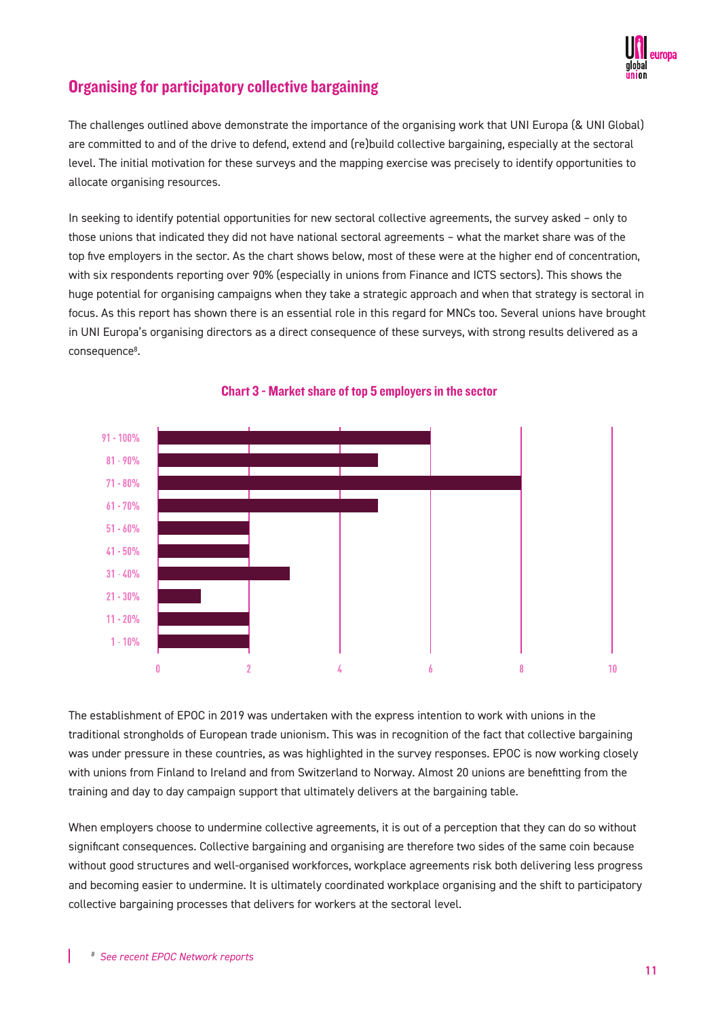

### Organising for participatory collective bargaining

The challenges outlined above demonstrate the importance of the organising work that UNI Europa (& UNI Global) are committed to and of the drive to defend, extend and (re)build collective bargaining, especially at the sectoral level. The initial motivation for these surveys and the mapping exercise was precisely to identify opportunities to allocate organising resources.

In seeking to identify potential opportunities for new sectoral collective agreements, the survey asked – only to those unions that indicated they did not have national sectoral agreements – what the market share was of the top five employers in the sector. As the chart shows below, most of these were at the higher end of concentration, with six respondents reporting over 90% (especially in unions from Finance and ICTS sectors). This shows the huge potential for organising campaigns when they take a strategic approach and when that strategy is sectoral in focus. As this report has shown there is an essential role in this regard for MNCs too. Several unions have brought in UNI Europa's organising directors as a direct consequence of these surveys, with strong results delivered as a consequence<sup>8</sup>.



#### Chart 3 - Market share of top 5 employers in the sector

The establishment of EPOC in 2019 was undertaken with the express intention to work with unions in the traditional strongholds of European trade unionism. This was in recognition of the fact that collective bargaining was under pressure in these countries, as was highlighted in the survey responses. EPOC is now working closely with unions from Finland to Ireland and from Switzerland to Norway. Almost 20 unions are benefitting from the training and day to day campaign support that ultimately delivers at the bargaining table.

When employers choose to undermine collective agreements, it is out of a perception that they can do so without significant consequences. Collective bargaining and organising are therefore two sides of the same coin because without good structures and well-organised workforces, workplace agreements risk both delivering less progress and becoming easier to undermine. It is ultimately coordinated workplace organising and the shift to participatory collective bargaining processes that delivers for workers at the sectoral level.